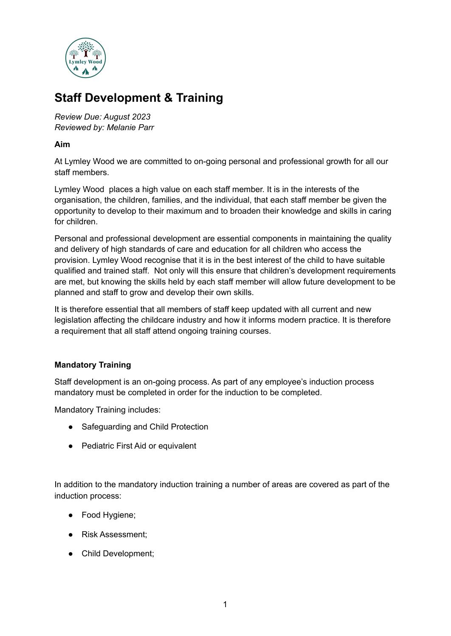

# **Staff Development & Training**

*Review Due: August 2023 Reviewed by: Melanie Parr*

### **Aim**

At Lymley Wood we are committed to on-going personal and professional growth for all our staff members.

Lymley Wood places a high value on each staff member. It is in the interests of the organisation, the children, families, and the individual, that each staff member be given the opportunity to develop to their maximum and to broaden their knowledge and skills in caring for children.

Personal and professional development are essential components in maintaining the quality and delivery of high standards of care and education for all children who access the provision. Lymley Wood recognise that it is in the best interest of the child to have suitable qualified and trained staff. Not only will this ensure that children's development requirements are met, but knowing the skills held by each staff member will allow future development to be planned and staff to grow and develop their own skills.

It is therefore essential that all members of staff keep updated with all current and new legislation affecting the childcare industry and how it informs modern practice. It is therefore a requirement that all staff attend ongoing training courses.

### **Mandatory Training**

Staff development is an on-going process. As part of any employee's induction process mandatory must be completed in order for the induction to be completed.

Mandatory Training includes:

- Safeguarding and Child Protection
- Pediatric First Aid or equivalent

In addition to the mandatory induction training a number of areas are covered as part of the induction process:

- Food Hygiene;
- Risk Assessment;
- Child Development;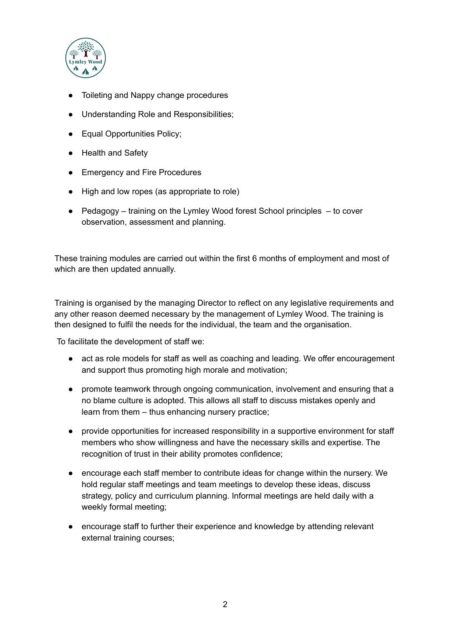

- Toileting and Nappy change procedures
- Understanding Role and Responsibilities;
- Equal Opportunities Policy;
- Health and Safety
- Emergency and Fire Procedures
- High and low ropes (as appropriate to role)
- Pedagogy training on the Lymley Wood forest School principles to cover observation, assessment and planning.

These training modules are carried out within the first 6 months of employment and most of which are then updated annually.

Training is organised by the managing Director to reflect on any legislative requirements and any other reason deemed necessary by the management of Lymley Wood. The training is then designed to fulfil the needs for the individual, the team and the organisation.

To facilitate the development of staff we:

- act as role models for staff as well as coaching and leading. We offer encouragement and support thus promoting high morale and motivation;
- promote teamwork through ongoing communication, involvement and ensuring that a no blame culture is adopted. This allows all staff to discuss mistakes openly and learn from them – thus enhancing nursery practice;
- provide opportunities for increased responsibility in a supportive environment for staff members who show willingness and have the necessary skills and expertise. The recognition of trust in their ability promotes confidence;
- encourage each staff member to contribute ideas for change within the nursery. We hold regular staff meetings and team meetings to develop these ideas, discuss strategy, policy and curriculum planning. Informal meetings are held daily with a weekly formal meeting;
- encourage staff to further their experience and knowledge by attending relevant external training courses;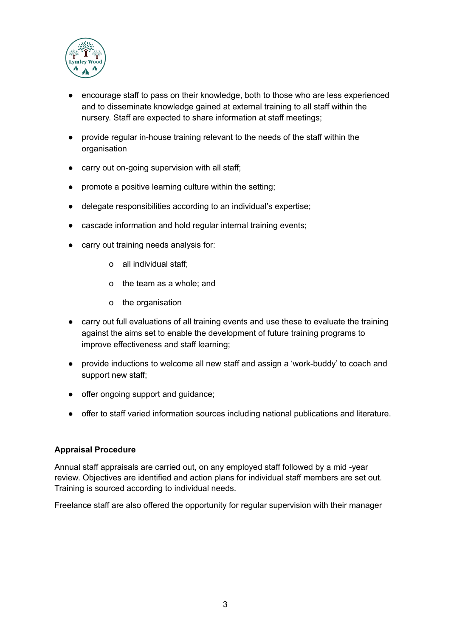

- encourage staff to pass on their knowledge, both to those who are less experienced and to disseminate knowledge gained at external training to all staff within the nursery. Staff are expected to share information at staff meetings;
- provide regular in-house training relevant to the needs of the staff within the organisation
- carry out on-going supervision with all staff;
- promote a positive learning culture within the setting;
- delegate responsibilities according to an individual's expertise;
- cascade information and hold regular internal training events;
- carry out training needs analysis for:
	- o all individual staff;
	- o the team as a whole; and
	- o the organisation
- carry out full evaluations of all training events and use these to evaluate the training against the aims set to enable the development of future training programs to improve effectiveness and staff learning;
- provide inductions to welcome all new staff and assign a 'work-buddy' to coach and support new staff;
- offer ongoing support and quidance:
- offer to staff varied information sources including national publications and literature.

### **Appraisal Procedure**

Annual staff appraisals are carried out, on any employed staff followed by a mid -year review. Objectives are identified and action plans for individual staff members are set out. Training is sourced according to individual needs.

Freelance staff are also offered the opportunity for regular supervision with their manager